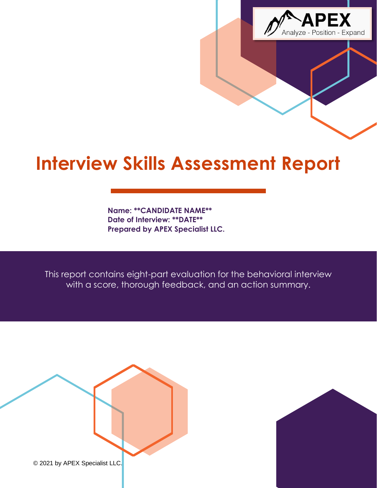

# **Interview Skills Assessment Report**

**Name: \*\*CANDIDATE NAME\*\* Date of Interview: \*\*DATE\*\* Prepared by APEX Specialist LLC.**

This report contains eight-part evaluation for the behavioral interview with a score, thorough feedback, and an action summary.



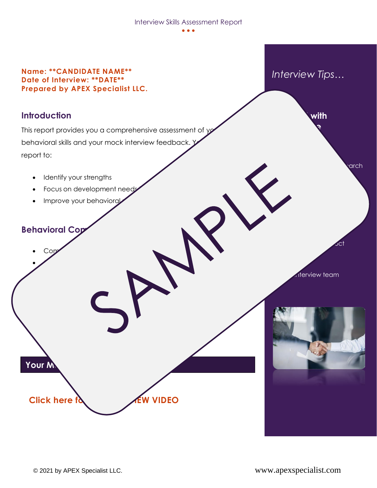#### Interview Skills Assessment Report

• • •

#### **Name: \*\*CANDIDATE NAME\*\* Date of Interview: \*\*DATE\*\* Prepared by APEX Specialist LLC.**

### **Introduction**

This report provides you a comprehensive assessment of  $y$ behavioral skills and your mock interview feedback. You can report to:

- Identify your strengths
- Focus on development need

 $\overline{\phantom{a}}$ 

• Goal setting and career clarity

Improve your behavioral

## **Behavioral Congress**

• Communication

• Results orientation

**Your M** 

• Interview team

 $5ct$ 

*Interview Tips…*

• Organization

**Confidence** 

**With** 

arch



**Click here for the INTERVIEW VIDEO** 

**b https://www.pointer.com/executers/interesting products://www.fileson.com/executers/interesting products://www.fileson.com/executions/interesting products://www.fileson.com/executions/interesting products://www.fileson**